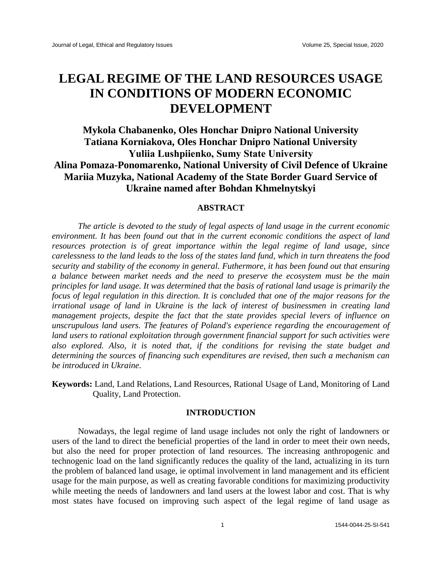# **LEGAL REGIME OF THE LAND RESOURCES USAGE IN CONDITIONS OF MODERN ECONOMIC DEVELOPMENT**

# **Mykola Chabanenko, Oles Honchar Dnipro National University Tatiana Korniakova, Oles Honchar Dnipro National University Yuliіa Lushpiienko, Sumy State University Alina Pomaza-Ponomarenko, National University of Civil Defence of Ukraine Mariia Muzyka, National Academy of the State Border Guard Service of Ukraine named after Bohdan Khmelnytskyi**

## **ABSTRACT**

*The article is devoted to the study of legal aspects of land usage in the current economic environment. It has been found out that in the current economic conditions the aspect of land resources protection is of great importance within the legal regime of land usage, since carelessness to the land leads to the loss of the states land fund, which in turn threatens the food security and stability of the economy in general. Futhermore, it has been found out that ensuring a balance between market needs and the need to preserve the ecosystem must be the main principles for land usage. It was determined that the basis of rational land usage is primarily the focus of legal regulation in this direction. It is concluded that one of the major reasons for the irrational usage of land in Ukraine is the lack of interest of businessmen in creating land management projects, despite the fact that the state provides special levers of influence on unscrupulous land users. The features of Poland's experience regarding the encouragement of land users to rational exploitation through government financial support for such activities were also explored. Also, it is noted that, if the conditions for revising the state budget and determining the sources of financing such expenditures are revised, then such a mechanism can be introduced in Ukraine.*

**Keywords:** Land, Land Relations, Land Resources, Rational Usage of Land, Monitoring of Land Quality, Land Protection.

### **INTRODUCTION**

Nowadays, the legal regime of land usage includes not only the right of landowners or users of the land to direct the beneficial properties of the land in order to meet their own needs, but also the need for proper protection of land resources. The increasing anthropogenic and technogenic load on the land significantly reduces the quality of the land, actualizing in its turn the problem of balanced land usage, ie optimal involvement in land management and its efficient usage for the main purpose, as well as creating favorable conditions for maximizing productivity while meeting the needs of landowners and land users at the lowest labor and cost. That is why most states have focused on improving such aspect of the legal regime of land usage as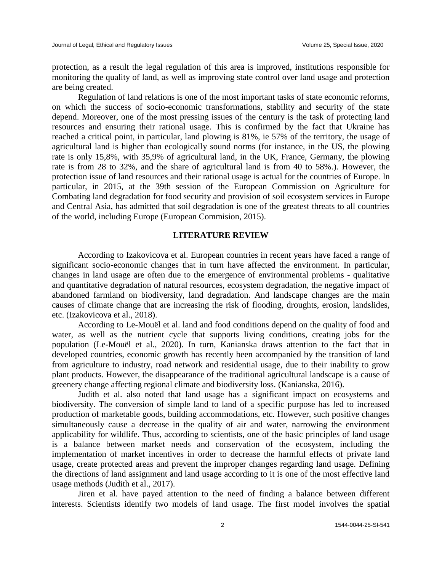protection, as a result the legal regulation of this area is improved, institutions responsible for monitoring the quality of land, as well as improving state control over land usage and protection are being created.

Regulation of land relations is one of the most important tasks of state economic reforms, on which the success of socio-economic transformations, stability and security of the state depend. Moreover, one of the most pressing issues of the century is the task of protecting land resources and ensuring their rational usage. This is confirmed by the fact that Ukraine has reached a critical point, in particular, land plowing is 81%, ie 57% of the territory, the usage of agricultural land is higher than ecologically sound norms (for instance, in the US, the plowing rate is only 15,8%, with 35,9% of agricultural land, in the UK, France, Germany, the plowing rate is from 28 to 32%, and the share of agricultural land is from 40 to 58%.). However, the protection issue of land resources and their rational usage is actual for the countries of Europe. In particular, in 2015, at the 39th session of the European Commission on Agriculture for Combating land degradation for food security and provision of soil ecosystem services in Europe and Central Asia, has admitted that soil degradation is one of the greatest threats to all countries of the world, including Europe (European Commision, 2015).

#### **LITERATURE REVIEW**

According to Izakovicova et al. European countries in recent years have faced a range of significant socio-economic changes that in turn have affected the environment. In particular, changes in land usage are often due to the emergence of environmental problems - qualitative and quantitative degradation of natural resources, ecosystem degradation, the negative impact of abandoned farmland on biodiversity, land degradation. And landscape changes are the main causes of climate change that are increasing the risk of flooding, droughts, erosion, landslides, etc. (Izakovicova et al., 2018).

According to Le-Mouël et al. land and food conditions depend on the quality of food and water, as well as the nutrient cycle that supports living conditions, creating jobs for the population (Le-Mouël et al., 2020). In turn, Kanianska draws attention to the fact that in developed countries, economic growth has recently been accompanied by the transition of land from agriculture to industry, road network and residential usage, due to their inability to grow plant products. However, the disappearance of the traditional agricultural landscape is a cause of greenery change affecting regional climate and biodiversity loss. (Kanianska, 2016).

Judith et al. also noted that land usage has a significant impact on ecosystems and biodiversity. The conversion of simple land to land of a specific purpose has led to increased production of marketable goods, building accommodations, etc. However, such positive changes simultaneously cause a decrease in the quality of air and water, narrowing the environment applicability for wildlife. Thus, according to scientists, one of the basic principles of land usage is a balance between market needs and conservation of the ecosystem, including the implementation of market incentives in order to decrease the harmful effects of private land usage, create protected areas and prevent the improper changes regarding land usage. Defining the directions of land assignment and land usage according to it is one of the most effective land usage methods (Judith et al., 2017).

Jiren et al. have payed attention to the need of finding a balance between different interests. Scientists identify two models of land usage. The first model involves the spatial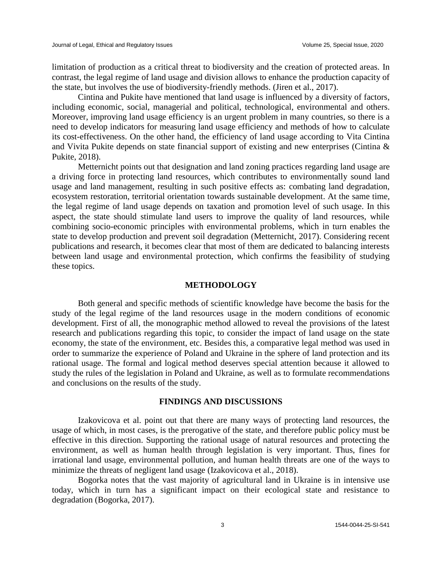limitation of production as a critical threat to biodiversity and the creation of protected areas. In contrast, the legal regime of land usage and division allows to enhance the production capacity of the state, but involves the use of biodiversity-friendly methods. (Jiren et al., 2017).

Cintina and Pukite have mentioned that land usage is influenced by a diversity of factors, including economic, social, managerial and political, technological, environmental and others. Moreover, improving land usage efficiency is an urgent problem in many countries, so there is a need to develop indicators for measuring land usage efficiency and methods of how to calculate its cost-effectiveness. On the other hand, the efficiency of land usage according to Vita Cintina and Vivita Pukite depends on state financial support of existing and new enterprises (Cintina & Pukite, 2018).

Metternicht points out that designation and land zoning practices regarding land usage are a driving force in protecting land resources, which contributes to environmentally sound land usage and land management, resulting in such positive effects as: combating land degradation, ecosystem restoration, territorial orientation towards sustainable development. At the same time, the legal regime of land usage depends on taxation and promotion level of such usage. In this aspect, the state should stimulate land users to improve the quality of land resources, while combining socio-economic principles with environmental problems, which in turn enables the state to develop production and prevent soil degradation (Metternicht, 2017). Considering recent publications and research, it becomes clear that most of them are dedicated to balancing interests between land usage and environmental protection, which confirms the feasibility of studying these topics.

#### **METHODOLOGY**

Both general and specific methods of scientific knowledge have become the basis for the study of the legal regime of the land resources usage in the modern conditions of economic development. First of all, the monographic method allowed to reveal the provisions of the latest research and publications regarding this topic, to consider the impact of land usage on the state economy, the state of the environment, etc. Besides this, a comparative legal method was used in order to summarize the experience of Poland and Ukraine in the sphere of land protection and its rational usage. The formal and logical method deserves special attention because it allowed to study the rules of the legislation in Poland and Ukraine, as well as to formulate recommendations and conclusions on the results of the study.

#### **FINDINGS AND DISCUSSIONS**

Izakovicova et al. point out that there are many ways of protecting land resources, the usage of which, in most cases, is the prerogative of the state, and therefore public policy must be effective in this direction. Supporting the rational usage of natural resources and protecting the environment, as well as human health through legislation is very important. Thus, fines for irrational land usage, environmental pollution, and human health threats are one of the ways to minimize the threats of negligent land usage (Izakovicova et al., 2018).

Bogorka notes that the vast majority of agricultural land in Ukraine is in intensive use today, which in turn has a significant impact on their ecological state and resistance to degradation (Bogorka, 2017).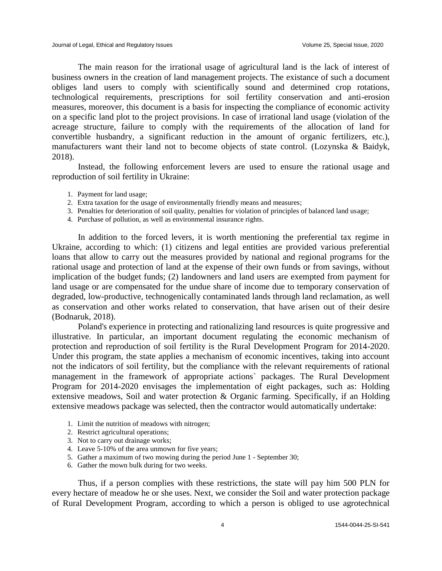The main reason for the irrational usage of agricultural land is the lack of interest of business owners in the creation of land management projects. The existance of such a document obliges land users to comply with scientifically sound and determined crop rotations, technological requirements, prescriptions for soil fertility conservation and anti-erosion measures, moreover, this document is a basis for inspecting the compliance of economic activity on a specific land plot to the project provisions. In case of irrational land usage (violation of the acreage structure, failure to comply with the requirements of the allocation of land for convertible husbandry, a significant reduction in the amount of organic fertilizers, etc.), manufacturers want their land not to become objects of state control. (Lozynska & Baidyk, 2018).

Instead, the following enforcement levers are used to ensure the rational usage and reproduction of soil fertility in Ukraine:

- 1. Payment for land usage;
- 2. Extra taxation for the usage of environmentally friendly means and measures;
- 3. Penalties for deterioration of soil quality, penalties for violation of principles of balanced land usage;
- 4. Purchase of pollution, as well as environmental insurance rights.

In addition to the forced levers, it is worth mentioning the preferential tax regime in Ukraine, according to which: (1) citizens and legal entities are provided various preferential loans that allow to carry out the measures provided by national and regional programs for the rational usage and protection of land at the expense of their own funds or from savings, without implication of the budget funds; (2) landowners and land users are exempted from payment for land usage or are compensated for the undue share of income due to temporary conservation of degraded, low-productive, technogenically contaminated lands through land reclamation, as well as conservation and other works related to conservation, that have arisen out of their desire (Bodnaruk, 2018).

Poland's experience in protecting and rationalizing land resources is quite progressive and illustrative. In particular, an important document regulating the economic mechanism of protection and reproduction of soil fertility is the Rural Development Program for 2014-2020. Under this program, the state applies a mechanism of economic incentives, taking into account not the indicators of soil fertility, but the compliance with the relevant requirements of rational management in the framework of appropriate actions` packages. The Rural Development Program for 2014-2020 envisages the implementation of eight packages, such as: Holding extensive meadows, Soil and water protection & Organic farming. Specifically, if an Holding extensive meadows package was selected, then the contractor would automatically undertake:

- 1. Limit the nutrition of meadows with nitrogen;
- 2. Restrict agricultural operations;
- 3. Not to carry out drainage works;
- 4. Leave 5-10% of the area unmown for five years;
- 5. Gather a maximum of two mowing during the period June 1 September 30;
- 6. Gather the mown bulk during for two weeks.

Thus, if a person complies with these restrictions, the state will pay him 500 PLN for every hectare of meadow he or she uses. Next, we consider the Soil and water protection package of Rural Development Program, according to which a person is obliged to use agrotechnical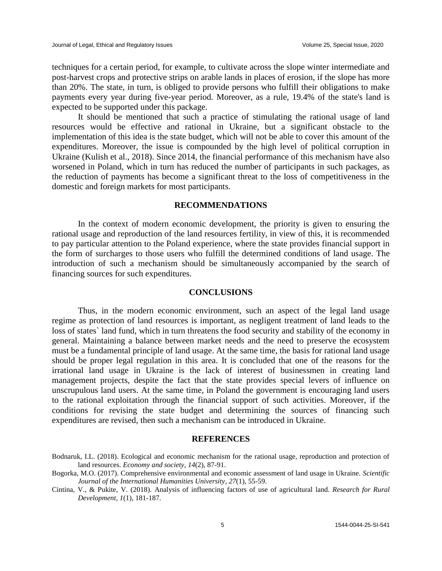techniques for a certain period, for example, to cultivate across the slope winter intermediate and post-harvest crops and protective strips on arable lands in places of erosion, if the slope has more than 20%. The state, in turn, is obliged to provide persons who fulfill their obligations to make payments every year during five-year period. Moreover, as a rule, 19.4% of the state's land is expected to be supported under this package.

It should be mentioned that such a practice of stimulating the rational usage of land resources would be effective and rational in Ukraine, but a significant obstacle to the implementation of this idea is the state budget, which will not be able to cover this amount of the expenditures. Moreover, the issue is compounded by the high level of political corruption in Ukraine (Kulish et al., 2018). Since 2014, the financial performance of this mechanism have also worsened in Poland, which in turn has reduced the number of participants in such packages, as the reduction of payments has become a significant threat to the loss of competitiveness in the domestic and foreign markets for most participants.

#### **RECOMMENDATIONS**

In the context of modern economic development, the priority is given to ensuring the rational usage and reproduction of the land resources fertility, in view of this, it is recommended to pay particular attention to the Poland experience, where the state provides financial support in the form of surcharges to those users who fulfill the determined conditions of land usage. The introduction of such a mechanism should be simultaneously accompanied by the search of financing sources for such expenditures.

#### **CONCLUSIONS**

Thus, in the modern economic environment, such an aspect of the legal land usage regime as protection of land resources is important, as negligent treatment of land leads to the loss of states` land fund, which in turn threatens the food security and stability of the economy in general. Maintaining a balance between market needs and the need to preserve the ecosystem must be a fundamental principle of land usage. At the same time, the basis for rational land usage should be proper legal regulation in this area. It is concluded that one of the reasons for the irrational land usage in Ukraine is the lack of interest of businessmen in creating land management projects, despite the fact that the state provides special levers of influence on unscrupulous land users. At the same time, in Poland the government is encouraging land users to the rational exploitation through the financial support of such activities. Moreover, if the conditions for revising the state budget and determining the sources of financing such expenditures are revised, then such a mechanism can be introduced in Ukraine.

#### **REFERENCES**

Bodnaruk, I.L. (2018). Ecological and economic mechanism for the rational usage, reproduction and protection of land resources. *Economy and society*, *14*(2), 87-91.

Bogorka, M.O. (2017). Comprehensive environmental and economic assessment of land usage in Ukraine. *Scientific Journal of the International Humanities University*, *27*(1), 55-59.

Cintina, V., & Pukite, V. (2018). Analysis of influencing factors of use of agricultural land. *Research for Rural Development, 1*(1), 181-187.